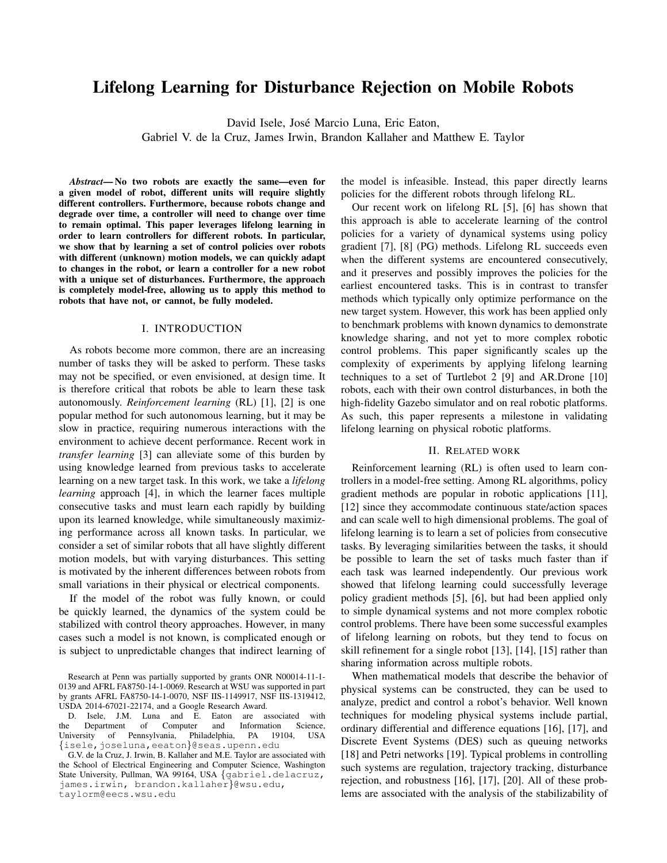# Lifelong Learning for Disturbance Rejection on Mobile Robots

David Isele, Jose Marcio Luna, Eric Eaton, ´

Gabriel V. de la Cruz, James Irwin, Brandon Kallaher and Matthew E. Taylor

*Abstract*— No two robots are exactly the same—even for a given model of robot, different units will require slightly different controllers. Furthermore, because robots change and degrade over time, a controller will need to change over time to remain optimal. This paper leverages lifelong learning in order to learn controllers for different robots. In particular, we show that by learning a set of control policies over robots with different (unknown) motion models, we can quickly adapt to changes in the robot, or learn a controller for a new robot with a unique set of disturbances. Furthermore, the approach is completely model-free, allowing us to apply this method to robots that have not, or cannot, be fully modeled.

#### I. INTRODUCTION

As robots become more common, there are an increasing number of tasks they will be asked to perform. These tasks may not be specified, or even envisioned, at design time. It is therefore critical that robots be able to learn these task autonomously. *Reinforcement learning* (RL) [1], [2] is one popular method for such autonomous learning, but it may be slow in practice, requiring numerous interactions with the environment to achieve decent performance. Recent work in *transfer learning* [3] can alleviate some of this burden by using knowledge learned from previous tasks to accelerate learning on a new target task. In this work, we take a *lifelong learning* approach [4], in which the learner faces multiple consecutive tasks and must learn each rapidly by building upon its learned knowledge, while simultaneously maximizing performance across all known tasks. In particular, we consider a set of similar robots that all have slightly different motion models, but with varying disturbances. This setting is motivated by the inherent differences between robots from small variations in their physical or electrical components.

If the model of the robot was fully known, or could be quickly learned, the dynamics of the system could be stabilized with control theory approaches. However, in many cases such a model is not known, is complicated enough or is subject to unpredictable changes that indirect learning of the model is infeasible. Instead, this paper directly learns policies for the different robots through lifelong RL.

Our recent work on lifelong RL [5], [6] has shown that this approach is able to accelerate learning of the control policies for a variety of dynamical systems using policy gradient [7], [8] (PG) methods. Lifelong RL succeeds even when the different systems are encountered consecutively, and it preserves and possibly improves the policies for the earliest encountered tasks. This is in contrast to transfer methods which typically only optimize performance on the new target system. However, this work has been applied only to benchmark problems with known dynamics to demonstrate knowledge sharing, and not yet to more complex robotic control problems. This paper significantly scales up the complexity of experiments by applying lifelong learning techniques to a set of Turtlebot 2 [9] and AR.Drone [10] robots, each with their own control disturbances, in both the high-fidelity Gazebo simulator and on real robotic platforms. As such, this paper represents a milestone in validating lifelong learning on physical robotic platforms.

### II. RELATED WORK

Reinforcement learning (RL) is often used to learn controllers in a model-free setting. Among RL algorithms, policy gradient methods are popular in robotic applications [11], [12] since they accommodate continuous state/action spaces and can scale well to high dimensional problems. The goal of lifelong learning is to learn a set of policies from consecutive tasks. By leveraging similarities between the tasks, it should be possible to learn the set of tasks much faster than if each task was learned independently. Our previous work showed that lifelong learning could successfully leverage policy gradient methods [5], [6], but had been applied only to simple dynamical systems and not more complex robotic control problems. There have been some successful examples of lifelong learning on robots, but they tend to focus on skill refinement for a single robot [13], [14], [15] rather than sharing information across multiple robots.

When mathematical models that describe the behavior of physical systems can be constructed, they can be used to analyze, predict and control a robot's behavior. Well known techniques for modeling physical systems include partial, ordinary differential and difference equations [16], [17], and Discrete Event Systems (DES) such as queuing networks [18] and Petri networks [19]. Typical problems in controlling such systems are regulation, trajectory tracking, disturbance rejection, and robustness [16], [17], [20]. All of these problems are associated with the analysis of the stabilizability of

Research at Penn was partially supported by grants ONR N00014-11-1- 0139 and AFRL FA8750-14-1-0069. Research at WSU was supported in part by grants AFRL FA8750-14-1-0070, NSF IIS-1149917, NSF IIS-1319412, USDA 2014-67021-22174, and a Google Research Award.

D. Isele, J.M. Luna and E. Eaton are associated with the Department of Computer and Information Science,<br>University of Pennsylvania, Philadelphia, PA 19104, USA University of Pennsylvania, Philadelphia, PA 19104, USA {isele,joseluna,eeaton}@seas.upenn.edu

G.V. de la Cruz, J. Irwin, B. Kallaher and M.E. Taylor are associated with the School of Electrical Engineering and Computer Science, Washington State University, Pullman, WA 99164, USA {gabriel.delacruz, james.irwin, brandon.kallaher}@wsu.edu, taylorm@eecs.wsu.edu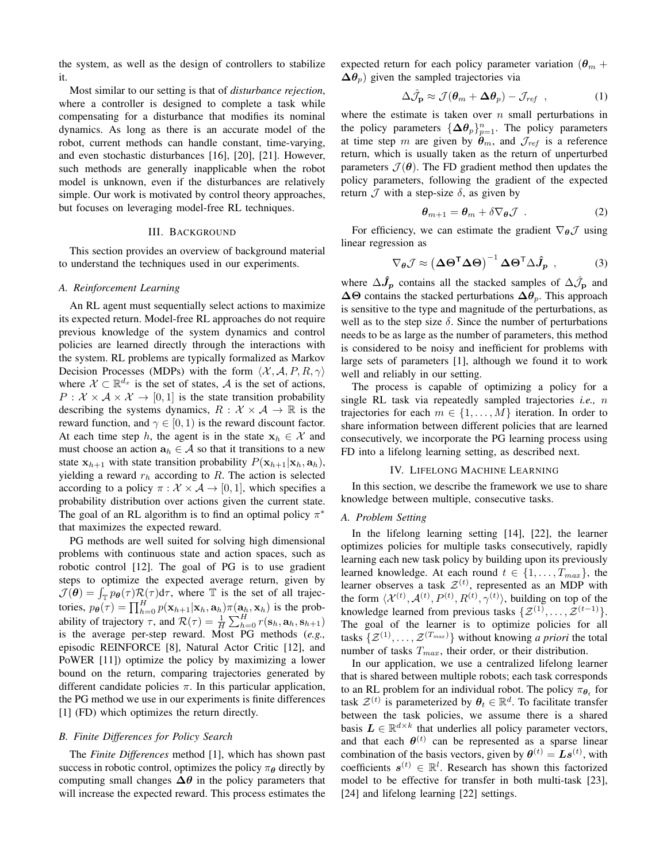the system, as well as the design of controllers to stabilize it.

Most similar to our setting is that of *disturbance rejection*, where a controller is designed to complete a task while compensating for a disturbance that modifies its nominal dynamics. As long as there is an accurate model of the robot, current methods can handle constant, time-varying, and even stochastic disturbances [16], [20], [21]. However, such methods are generally inapplicable when the robot model is unknown, even if the disturbances are relatively simple. Our work is motivated by control theory approaches, but focuses on leveraging model-free RL techniques.

### III. BACKGROUND

This section provides an overview of background material to understand the techniques used in our experiments.

### *A. Reinforcement Learning*

An RL agent must sequentially select actions to maximize its expected return. Model-free RL approaches do not require previous knowledge of the system dynamics and control policies are learned directly through the interactions with the system. RL problems are typically formalized as Markov Decision Processes (MDPs) with the form  $\langle X, A, P, R, \gamma \rangle$ where  $\mathcal{X} \subset \mathbb{R}^{d_x}$  is the set of states,  $\mathcal{A}$  is the set of actions,  $P: \mathcal{X} \times \mathcal{A} \times \mathcal{X} \rightarrow [0, 1]$  is the state transition probability describing the systems dynamics,  $R : \mathcal{X} \times \mathcal{A} \rightarrow \mathbb{R}$  is the reward function, and  $\gamma \in [0, 1)$  is the reward discount factor. At each time step h, the agent is in the state  $x_h \in \mathcal{X}$  and must choose an action  $a_h \in A$  so that it transitions to a new state  $x_{h+1}$  with state transition probability  $P(x_{h+1}|x_h, a_h)$ , yielding a reward  $r_h$  according to R. The action is selected according to a policy  $\pi : \mathcal{X} \times \mathcal{A} \rightarrow [0, 1]$ , which specifies a probability distribution over actions given the current state. The goal of an RL algorithm is to find an optimal policy  $\pi^*$ that maximizes the expected reward.

PG methods are well suited for solving high dimensional problems with continuous state and action spaces, such as robotic control [12]. The goal of PG is to use gradient steps to optimize the expected average return, given by  $\mathcal{J}(\theta) = \int_{\mathbb{T}} p_{\theta}(\tau) \mathcal{R}(\tau) d\tau$ , where  $\mathbb{T}$  is the set of all trajectories,  $p_{\theta}(\tau) = \prod_{h=0}^{H} p(\mathbf{x}_{h+1}|\mathbf{x}_h, \mathbf{a}_h) \pi(\mathbf{a}_h, \mathbf{x}_h)$  is the probability of trajectory  $\tau$ , and  $\mathcal{R}(\tau) = \frac{1}{H} \sum_{h=0}^{H} r(\mathbf{s}_h, \mathbf{a}_h, \mathbf{s}_{h+1})$ is the average per-step reward. Most PG methods (*e.g.,* episodic REINFORCE [8], Natural Actor Critic [12], and PoWER [11]) optimize the policy by maximizing a lower bound on the return, comparing trajectories generated by different candidate policies  $\pi$ . In this particular application, the PG method we use in our experiments is finite differences [1] (FD) which optimizes the return directly.

### *B. Finite Differences for Policy Search*

The *Finite Differences* method [1], which has shown past success in robotic control, optimizes the policy  $\pi_{\theta}$  directly by computing small changes  $\Delta\theta$  in the policy parameters that will increase the expected reward. This process estimates the

expected return for each policy parameter variation ( $\theta_m$  +  $\Delta\theta_p$ ) given the sampled trajectories via

$$
\Delta \hat{\mathcal{J}}_{\mathbf{p}} \approx \mathcal{J}(\boldsymbol{\theta}_{m} + \boldsymbol{\Delta \theta}_{p}) - \mathcal{J}_{ref} , \qquad (1)
$$

where the estimate is taken over  $n$  small perturbations in the policy parameters  $\{\Delta\theta_p\}_{p=1}^n$ . The policy parameters at time step m are given by  $\theta_m$ , and  $\mathcal{J}_{ref}$  is a reference return, which is usually taken as the return of unperturbed parameters  $\mathcal{J}(\boldsymbol{\theta})$ . The FD gradient method then updates the policy parameters, following the gradient of the expected return  $\mathcal J$  with a step-size  $\delta$ , as given by

$$
\boldsymbol{\theta}_{m+1} = \boldsymbol{\theta}_m + \delta \nabla_{\boldsymbol{\theta}} \mathcal{J} \tag{2}
$$

For efficiency, we can estimate the gradient  $\nabla_{\theta} \mathcal{J}$  using linear regression as

$$
\nabla_{\theta} \mathcal{J} \approx \left(\Delta \Theta^{\mathsf{T}} \Delta \Theta\right)^{-1} \Delta \Theta^{\mathsf{T}} \Delta \hat{J}_{p} , \qquad (3)
$$

where  $\Delta \hat{J}_{p}$  contains all the stacked samples of  $\Delta \hat{J}_{p}$  and  $\Delta\Theta$  contains the stacked perturbations  $\Delta\theta_p$ . This approach is sensitive to the type and magnitude of the perturbations, as well as to the step size  $\delta$ . Since the number of perturbations needs to be as large as the number of parameters, this method is considered to be noisy and inefficient for problems with large sets of parameters [1], although we found it to work well and reliably in our setting.

The process is capable of optimizing a policy for a single RL task via repeatedly sampled trajectories *i.e.,* n trajectories for each  $m \in \{1, \ldots, M\}$  iteration. In order to share information between different policies that are learned consecutively, we incorporate the PG learning process using FD into a lifelong learning setting, as described next.

#### IV. LIFELONG MACHINE LEARNING

In this section, we describe the framework we use to share knowledge between multiple, consecutive tasks.

### *A. Problem Setting*

In the lifelong learning setting [14], [22], the learner optimizes policies for multiple tasks consecutively, rapidly learning each new task policy by building upon its previously learned knowledge. At each round  $t \in \{1, \ldots, T_{max}\}\$ , the learner observes a task  $\mathcal{Z}^{(t)}$ , represented as an MDP with the form  $\langle \mathcal{X}^{(t)}, \mathcal{A}^{(t)}, P^{(t)}, R^{(t)}, \gamma^{(t)} \rangle$ , building on top of the knowledge learned from previous tasks  $\{\mathcal{Z}^{(1)}, \ldots, \mathcal{Z}^{(t-1)}\}.$ The goal of the learner is to optimize policies for all tasks  $\{\mathcal{Z}^{(1)}, \ldots, \mathcal{Z}^{(T_{max})}\}\$  without knowing *a priori* the total number of tasks  $T_{max}$ , their order, or their distribution.

In our application, we use a centralized lifelong learner that is shared between multiple robots; each task corresponds to an RL problem for an individual robot. The policy  $\pi_{\theta_t}$  for task  $\mathcal{Z}^{(t)}$  is parameterized by  $\theta_t \in \mathbb{R}^d$ . To facilitate transfer between the task policies, we assume there is a shared basis  $L \in \mathbb{R}^{d \times k}$  that underlies all policy parameter vectors, and that each  $\theta^{(t)}$  can be represented as a sparse linear combination of the basis vectors, given by  $\theta^{(t)} = Ls^{(t)}$ , with coefficients  $s^{(t)} \in \mathbb{R}^l$ . Research has shown this factorized model to be effective for transfer in both multi-task [23], [24] and lifelong learning [22] settings.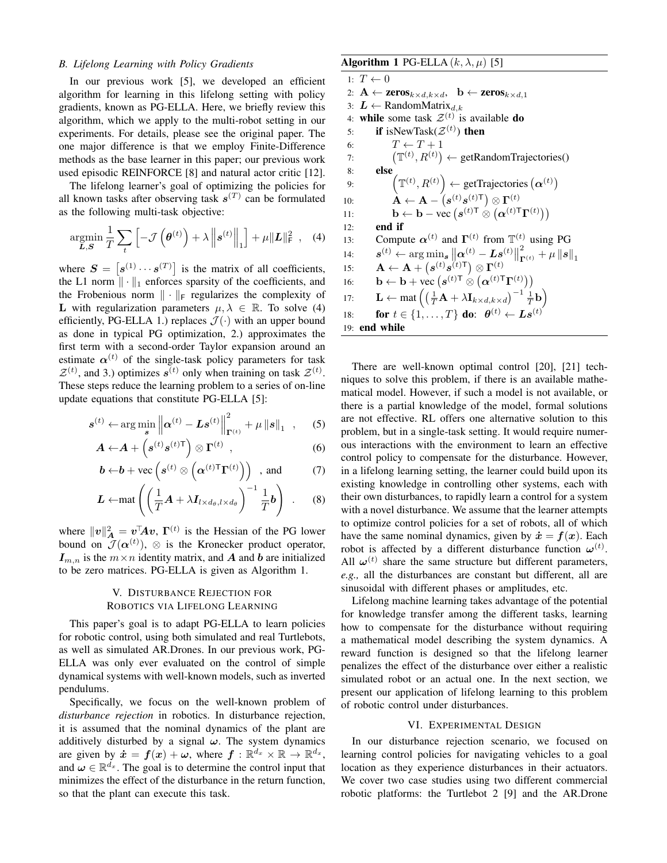### *B. Lifelong Learning with Policy Gradients*

In our previous work [5], we developed an efficient algorithm for learning in this lifelong setting with policy gradients, known as PG-ELLA. Here, we briefly review this algorithm, which we apply to the multi-robot setting in our experiments. For details, please see the original paper. The one major difference is that we employ Finite-Difference methods as the base learner in this paper; our previous work used episodic REINFORCE [8] and natural actor critic [12].

The lifelong learner's goal of optimizing the policies for all known tasks after observing task  $s^{(T)}$  can be formulated as the following multi-task objective:

$$
\underset{\mathbf{L},\mathbf{S}}{\operatorname{argmin}} \frac{1}{T} \sum_{t} \left[ -\mathcal{J}\left(\boldsymbol{\theta}^{(t)}\right) + \lambda \left\| \mathbf{s}^{(t)} \right\|_{1} \right] + \mu \| \mathbf{L} \|_{\mathsf{F}}^{2} \ , \quad (4)
$$

where  $S = [s^{(1)} \cdots s^{(T)}]$  is the matrix of all coefficients, the L1 norm  $\|\cdot\|_1$  enforces sparsity of the coefficients, and the Frobenious norm  $\|\cdot\|_F$  regularizes the complexity of **L** with regularization parameters  $\mu, \lambda \in \mathbb{R}$ . To solve (4) efficiently, PG-ELLA 1.) replaces  $\mathcal{J}(\cdot)$  with an upper bound as done in typical PG optimization, 2.) approximates the first term with a second-order Taylor expansion around an estimate  $\alpha^{(t)}$  of the single-task policy parameters for task  $\mathcal{Z}^{(t)}$ , and 3.) optimizes  $s^{(t)}$  only when training on task  $\mathcal{Z}^{(t)}$ . These steps reduce the learning problem to a series of on-line update equations that constitute PG-ELLA [5]:

$$
\boldsymbol{s}^{(t)} \leftarrow \arg\min_{\boldsymbol{s}} \left\| \boldsymbol{\alpha}^{(t)} - \boldsymbol{L}\boldsymbol{s}^{(t)} \right\|_{\boldsymbol{\Gamma}^{(t)}}^2 + \mu \left\| \boldsymbol{s} \right\|_1 , \qquad (5)
$$

$$
\boldsymbol{A} \leftarrow \boldsymbol{A} + \left(\boldsymbol{s}^{(t)} \boldsymbol{s}^{(t)\mathsf{T}}\right) \otimes \boldsymbol{\Gamma}^{(t)} \tag{6}
$$

$$
\boldsymbol{b} \leftarrow \boldsymbol{b} + \text{vec}\left(\boldsymbol{s}^{(t)} \otimes \left(\boldsymbol{\alpha}^{(t)\mathsf{T}} \boldsymbol{\Gamma}^{(t)}\right)\right) \quad \text{and} \tag{7}
$$

$$
\boldsymbol{L} \leftarrow \text{mat}\left(\left(\frac{1}{T}\boldsymbol{A} + \lambda \boldsymbol{I}_{l \times d_{\theta}, l \times d_{\theta}}\right)^{-1}\frac{1}{T}\boldsymbol{b}\right) . \qquad (8)
$$

where  $||v||_A^2 = v^{\mathsf{T}}Av$ ,  $\Gamma^{(t)}$  is the Hessian of the PG lower bound on  $\mathcal{J}(\boldsymbol{\alpha}^{(t)})$ ,  $\otimes$  is the Kronecker product operator,  $I_{m,n}$  is the  $m \times n$  identity matrix, and A and b are initialized to be zero matrices. PG-ELLA is given as Algorithm 1.

# V. DISTURBANCE REJECTION FOR ROBOTICS VIA LIFELONG LEARNING

This paper's goal is to adapt PG-ELLA to learn policies for robotic control, using both simulated and real Turtlebots, as well as simulated AR.Drones. In our previous work, PG-ELLA was only ever evaluated on the control of simple dynamical systems with well-known models, such as inverted pendulums.

Specifically, we focus on the well-known problem of *disturbance rejection* in robotics. In disturbance rejection, it is assumed that the nominal dynamics of the plant are additively disturbed by a signal  $\omega$ . The system dynamics are given by  $\dot{x} = f(x) + \omega$ , where  $f: \mathbb{R}^{d_x} \times \mathbb{R} \to \mathbb{R}^{d_x}$ , and  $\boldsymbol{\omega} \in \mathbb{R}^{d_x}$ . The goal is to determine the control input that minimizes the effect of the disturbance in the return function, so that the plant can execute this task.

# Algorithm 1 PG-ELLA  $(k, \lambda, \mu)$  [5]

1:  $T \leftarrow 0$ 2:  $\mathbf{A} \leftarrow \textbf{zeros}_{k \times d, k \times d}$ ,  $\mathbf{b} \leftarrow \textbf{zeros}_{k \times d, 1}$ 3:  $L$  ← RandomMatrix<sub>d, k</sub> 4: while some task  $\mathcal{Z}^{(t)}$  is available do 5: **if** isNewTask( $\mathcal{Z}^{(t)}$ ) then 6:  $T \leftarrow T + 1$ 7:  $\mathbb{T}^{(t)}, R^{(t)} \rangle \leftarrow \text{getRandomTrajectories}()$ 8: else 9:  $\left( \mathbb{T}^{(t)}, R^{(t)} \right) \leftarrow \text{getTrajectories } (\boldsymbol{\alpha}^{(t)})$ 10:  $\mathbf{A} \leftarrow \mathbf{A} - (s^{(t)} s^{(t)\mathsf{T}}) \otimes \mathbf{\Gamma}^{(t)}$ 11:  $\mathbf{b} \leftarrow \mathbf{b} - \text{vec}\left(\mathbf{s}^{(t)\mathsf{T}} \otimes (\boldsymbol{\alpha}^{(t)\mathsf{T}} \boldsymbol{\Gamma}^{(t)})\right)$  $12:$ 13: Compute  $\alpha^{(t)}$  and  $\Gamma^{(t)}$  from  $\mathbb{T}^{(t)}$  using PG  $14:$  $\alpha^{(t)} \leftarrow \arg \min_{\mathbf{s}} \left\| \boldsymbol{\alpha}^{(t)} - \boldsymbol{L} \boldsymbol{s}^{(t)} \right\|$  $\frac{2}{\Gamma^{(t)}}+\mu \left\Vert \boldsymbol{s}\right\Vert _{1}$ 15:  $\mathbf{A} \leftarrow \mathbf{A} + \left(\boldsymbol{s}^{(t)}\boldsymbol{s}^{(t)\mathsf{T}}\right) \otimes \boldsymbol{\Gamma}^{(t)}$ 16:  $\mathbf{b} \leftarrow \mathbf{b} + \text{vec}(\mathbf{s}^{(t)\mathsf{T}} \otimes (\boldsymbol{\alpha}^{(t)\mathsf{T}} \boldsymbol{\Gamma}^{(t)}))$ 17:  $\mathbf{L} \leftarrow \text{mat} \left( \left( \frac{1}{T} \mathbf{A} + \lambda \mathbf{I}_{k \times d, k \times d} \right)^{-1} \frac{1}{T} \mathbf{b} \right)$ 18: for  $t \in \{1, \ldots, T\}$  do:  $\boldsymbol{\theta}^{(t)} \leftarrow \boldsymbol{L}\boldsymbol{s}^{(t)}$ 19: end while

There are well-known optimal control [20], [21] techniques to solve this problem, if there is an available mathematical model. However, if such a model is not available, or there is a partial knowledge of the model, formal solutions are not effective. RL offers one alternative solution to this problem, but in a single-task setting. It would require numerous interactions with the environment to learn an effective control policy to compensate for the disturbance. However, in a lifelong learning setting, the learner could build upon its existing knowledge in controlling other systems, each with their own disturbances, to rapidly learn a control for a system with a novel disturbance. We assume that the learner attempts to optimize control policies for a set of robots, all of which have the same nominal dynamics, given by  $\dot{x} = f(x)$ . Each robot is affected by a different disturbance function  $\boldsymbol{\omega}^{(t)}$ . All  $\boldsymbol{\omega}^{(t)}$  share the same structure but different parameters, *e.g.,* all the disturbances are constant but different, all are sinusoidal with different phases or amplitudes, etc.

Lifelong machine learning takes advantage of the potential for knowledge transfer among the different tasks, learning how to compensate for the disturbance without requiring a mathematical model describing the system dynamics. A reward function is designed so that the lifelong learner penalizes the effect of the disturbance over either a realistic simulated robot or an actual one. In the next section, we present our application of lifelong learning to this problem of robotic control under disturbances.

### VI. EXPERIMENTAL DESIGN

In our disturbance rejection scenario, we focused on learning control policies for navigating vehicles to a goal location as they experience disturbances in their actuators. We cover two case studies using two different commercial robotic platforms: the Turtlebot 2 [9] and the AR.Drone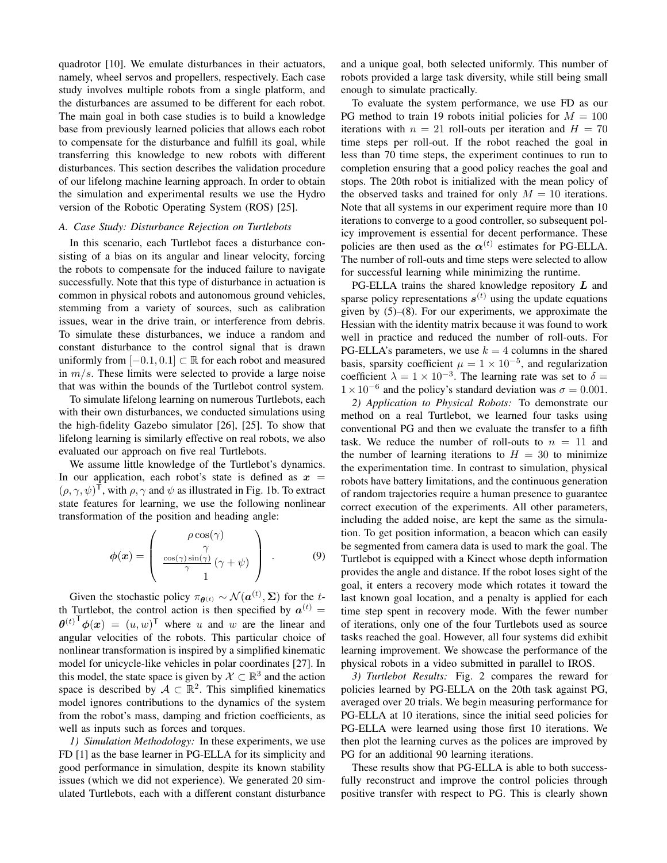quadrotor [10]. We emulate disturbances in their actuators, namely, wheel servos and propellers, respectively. Each case study involves multiple robots from a single platform, and the disturbances are assumed to be different for each robot. The main goal in both case studies is to build a knowledge base from previously learned policies that allows each robot to compensate for the disturbance and fulfill its goal, while transferring this knowledge to new robots with different disturbances. This section describes the validation procedure of our lifelong machine learning approach. In order to obtain the simulation and experimental results we use the Hydro version of the Robotic Operating System (ROS) [25].

### *A. Case Study: Disturbance Rejection on Turtlebots*

In this scenario, each Turtlebot faces a disturbance consisting of a bias on its angular and linear velocity, forcing the robots to compensate for the induced failure to navigate successfully. Note that this type of disturbance in actuation is common in physical robots and autonomous ground vehicles, stemming from a variety of sources, such as calibration issues, wear in the drive train, or interference from debris. To simulate these disturbances, we induce a random and constant disturbance to the control signal that is drawn uniformly from  $[-0.1, 0.1]$  ⊂ ℝ for each robot and measured in  $m/s$ . These limits were selected to provide a large noise that was within the bounds of the Turtlebot control system.

To simulate lifelong learning on numerous Turtlebots, each with their own disturbances, we conducted simulations using the high-fidelity Gazebo simulator [26], [25]. To show that lifelong learning is similarly effective on real robots, we also evaluated our approach on five real Turtlebots.

We assume little knowledge of the Turtlebot's dynamics. In our application, each robot's state is defined as  $x =$  $(\rho, \gamma, \psi)^{\mathsf{T}}$ , with  $\rho, \gamma$  and  $\psi$  as illustrated in Fig. 1b. To extract state features for learning, we use the following nonlinear transformation of the position and heading angle:

$$
\phi(\boldsymbol{x}) = \begin{pmatrix} \rho \cos(\gamma) \\ \frac{\gamma}{\gamma} \\ \frac{\cos(\gamma)\sin(\gamma)}{\gamma} (\gamma + \psi) \\ 1 \end{pmatrix} . \tag{9}
$$

Given the stochastic policy  $\pi_{\theta^{(t)}} \sim \mathcal{N}(\boldsymbol{a}^{(t)}, \boldsymbol{\Sigma})$  for the tth Turtlebot, the control action is then specified by  $a^{(t)} =$  ${\theta^{(t)}}^{\mathsf{T}} \phi(x) = (u, w)^{\mathsf{T}}$  where u and w are the linear and angular velocities of the robots. This particular choice of nonlinear transformation is inspired by a simplified kinematic model for unicycle-like vehicles in polar coordinates [27]. In this model, the state space is given by  $\mathcal{X} \subset \mathbb{R}^3$  and the action space is described by  $A \subset \mathbb{R}^2$ . This simplified kinematics model ignores contributions to the dynamics of the system from the robot's mass, damping and friction coefficients, as well as inputs such as forces and torques.

*1) Simulation Methodology:* In these experiments, we use FD [1] as the base learner in PG-ELLA for its simplicity and good performance in simulation, despite its known stability issues (which we did not experience). We generated 20 simulated Turtlebots, each with a different constant disturbance and a unique goal, both selected uniformly. This number of robots provided a large task diversity, while still being small enough to simulate practically.

To evaluate the system performance, we use FD as our PG method to train 19 robots initial policies for  $M = 100$ iterations with  $n = 21$  roll-outs per iteration and  $H = 70$ time steps per roll-out. If the robot reached the goal in less than 70 time steps, the experiment continues to run to completion ensuring that a good policy reaches the goal and stops. The 20th robot is initialized with the mean policy of the observed tasks and trained for only  $M = 10$  iterations. Note that all systems in our experiment require more than 10 iterations to converge to a good controller, so subsequent policy improvement is essential for decent performance. These policies are then used as the  $\alpha^{(t)}$  estimates for PG-ELLA. The number of roll-outs and time steps were selected to allow for successful learning while minimizing the runtime.

PG-ELLA trains the shared knowledge repository  $L$  and sparse policy representations  $s^{(t)}$  using the update equations given by (5)–(8). For our experiments, we approximate the Hessian with the identity matrix because it was found to work well in practice and reduced the number of roll-outs. For PG-ELLA's parameters, we use  $k = 4$  columns in the shared basis, sparsity coefficient  $\mu = 1 \times 10^{-5}$ , and regularization coefficient  $\lambda = 1 \times 10^{-3}$ . The learning rate was set to  $\delta =$  $1 \times 10^{-6}$  and the policy's standard deviation was  $\sigma = 0.001$ .

*2) Application to Physical Robots:* To demonstrate our method on a real Turtlebot, we learned four tasks using conventional PG and then we evaluate the transfer to a fifth task. We reduce the number of roll-outs to  $n = 11$  and the number of learning iterations to  $H = 30$  to minimize the experimentation time. In contrast to simulation, physical robots have battery limitations, and the continuous generation of random trajectories require a human presence to guarantee correct execution of the experiments. All other parameters, including the added noise, are kept the same as the simulation. To get position information, a beacon which can easily be segmented from camera data is used to mark the goal. The Turtlebot is equipped with a Kinect whose depth information provides the angle and distance. If the robot loses sight of the goal, it enters a recovery mode which rotates it toward the last known goal location, and a penalty is applied for each time step spent in recovery mode. With the fewer number of iterations, only one of the four Turtlebots used as source tasks reached the goal. However, all four systems did exhibit learning improvement. We showcase the performance of the physical robots in a video submitted in parallel to IROS.

*3) Turtlebot Results:* Fig. 2 compares the reward for policies learned by PG-ELLA on the 20th task against PG, averaged over 20 trials. We begin measuring performance for PG-ELLA at 10 iterations, since the initial seed policies for PG-ELLA were learned using those first 10 iterations. We then plot the learning curves as the polices are improved by PG for an additional 90 learning iterations.

These results show that PG-ELLA is able to both successfully reconstruct and improve the control policies through positive transfer with respect to PG. This is clearly shown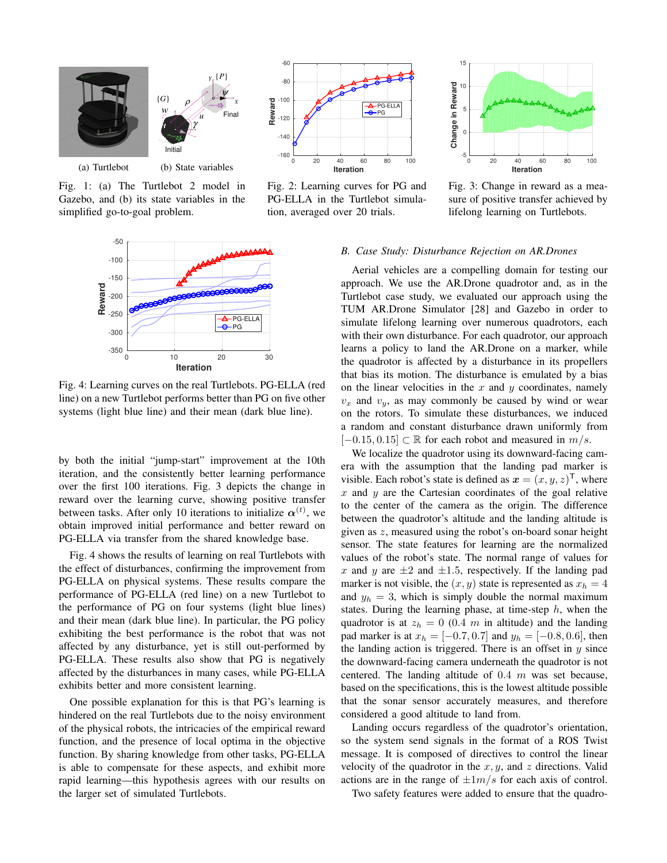

Fig. 1: (a) The Turtlebot 2 model in Gazebo, and (b) its state variables in the simplified go-to-goal problem.



Fig. 2: Learning curves for PG and PG-ELLA in the Turtlebot simulation, averaged over 20 trials.



Fig. 3: Change in reward as a measure of positive transfer achieved by lifelong learning on Turtlebots.

### **Iteration** 0 10 20 30 **Reward**  $-350\frac{1}{0}$ -300 -250 -200 -150 -100 -50 -PG-ELLA O-PG

Fig. 4: Learning curves on the real Turtlebots. PG-ELLA (red line) on a new Turtlebot performs better than PG on five other systems (light blue line) and their mean (dark blue line).

by both the initial "jump-start" improvement at the 10th iteration, and the consistently better learning performance over the first 100 iterations. Fig. 3 depicts the change in reward over the learning curve, showing positive transfer between tasks. After only 10 iterations to initialize  $\alpha^{(t)}$ , we obtain improved initial performance and better reward on PG-ELLA via transfer from the shared knowledge base.

Fig. 4 shows the results of learning on real Turtlebots with the effect of disturbances, confirming the improvement from PG-ELLA on physical systems. These results compare the performance of PG-ELLA (red line) on a new Turtlebot to the performance of PG on four systems (light blue lines) and their mean (dark blue line). In particular, the PG policy exhibiting the best performance is the robot that was not affected by any disturbance, yet is still out-performed by PG-ELLA. These results also show that PG is negatively affected by the disturbances in many cases, while PG-ELLA exhibits better and more consistent learning.

One possible explanation for this is that PG's learning is hindered on the real Turtlebots due to the noisy environment of the physical robots, the intricacies of the empirical reward function, and the presence of local optima in the objective function. By sharing knowledge from other tasks, PG-ELLA is able to compensate for these aspects, and exhibit more rapid learning—this hypothesis agrees with our results on the larger set of simulated Turtlebots.

### *B. Case Study: Disturbance Rejection on AR.Drones*

Aerial vehicles are a compelling domain for testing our approach. We use the AR.Drone quadrotor and, as in the Turtlebot case study, we evaluated our approach using the TUM AR.Drone Simulator [28] and Gazebo in order to simulate lifelong learning over numerous quadrotors, each with their own disturbance. For each quadrotor, our approach learns a policy to land the AR.Drone on a marker, while the quadrotor is affected by a disturbance in its propellers that bias its motion. The disturbance is emulated by a bias on the linear velocities in the  $x$  and  $y$  coordinates, namely  $v_x$  and  $v_y$ , as may commonly be caused by wind or wear on the rotors. To simulate these disturbances, we induced a random and constant disturbance drawn uniformly from  $[-0.15, 0.15] \subset \mathbb{R}$  for each robot and measured in  $m/s$ .

We localize the quadrotor using its downward-facing camera with the assumption that the landing pad marker is visible. Each robot's state is defined as  $x = (x, y, z)^{\mathsf{T}}$ , where  $x$  and  $y$  are the Cartesian coordinates of the goal relative to the center of the camera as the origin. The difference between the quadrotor's altitude and the landing altitude is given as z, measured using the robot's on-board sonar height sensor. The state features for learning are the normalized values of the robot's state. The normal range of values for x and y are  $\pm 2$  and  $\pm 1.5$ , respectively. If the landing pad marker is not visible, the  $(x, y)$  state is represented as  $x_h = 4$ and  $y_h = 3$ , which is simply double the normal maximum states. During the learning phase, at time-step  $h$ , when the quadrotor is at  $z_h = 0$  (0.4 m in altitude) and the landing pad marker is at  $x_h = [-0.7, 0.7]$  and  $y_h = [-0.8, 0.6]$ , then the landing action is triggered. There is an offset in  $y$  since the downward-facing camera underneath the quadrotor is not centered. The landing altitude of  $0.4$  m was set because, based on the specifications, this is the lowest altitude possible that the sonar sensor accurately measures, and therefore considered a good altitude to land from.

Landing occurs regardless of the quadrotor's orientation, so the system send signals in the format of a ROS Twist message. It is composed of directives to control the linear velocity of the quadrotor in the  $x, y$ , and  $z$  directions. Valid actions are in the range of  $\pm 1m/s$  for each axis of control.

Two safety features were added to ensure that the quadro-